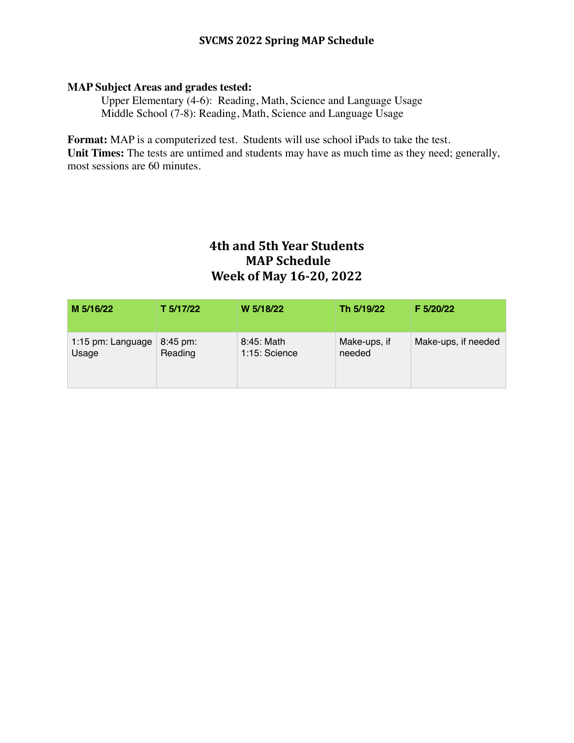## **SVCMS 2022 Spring MAP Schedule**

### **MAP Subject Areas and grades tested:**

Upper Elementary (4-6): Reading, Math, Science and Language Usage Middle School (7-8): Reading, Math, Science and Language Usage

**Format:** MAP is a computerized test. Students will use school iPads to take the test. Unit Times: The tests are untimed and students may have as much time as they need; generally, most sessions are 60 minutes.

# **4th and 5th Year Students MAP** Schedule **Week of May 16-20, 2022**

| M 5/16/22         | T 5/17/22            | W 5/18/22     | Th 5/19/22   | F 5/20/22           |
|-------------------|----------------------|---------------|--------------|---------------------|
| 1:15 pm: Language | $8:45 \,\mathrm{pm}$ | 8:45: Math    | Make-ups, if | Make-ups, if needed |
| Usage             | Reading              | 1:15: Science | needed       |                     |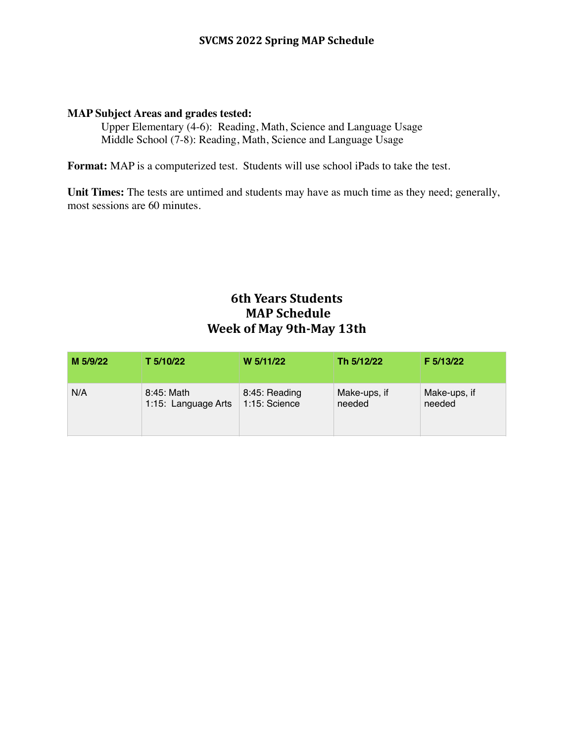## **SVCMS 2022 Spring MAP Schedule**

#### **MAP Subject Areas and grades tested:**

Upper Elementary (4-6): Reading, Math, Science and Language Usage Middle School (7-8): Reading, Math, Science and Language Usage

**Format:** MAP is a computerized test. Students will use school iPads to take the test.

Unit Times: The tests are untimed and students may have as much time as they need; generally, most sessions are 60 minutes.

# **6th Years Students MAP** Schedule **Week of May 9th-May 13th**

| M 5/9/22 | T 5/10/22           | W 5/11/22     | Th 5/12/22   | F 5/13/22    |
|----------|---------------------|---------------|--------------|--------------|
| N/A      | 8:45: Math          | 8:45: Reading | Make-ups, if | Make-ups, if |
|          | 1:15: Language Arts | 1:15: Science | needed       | needed       |